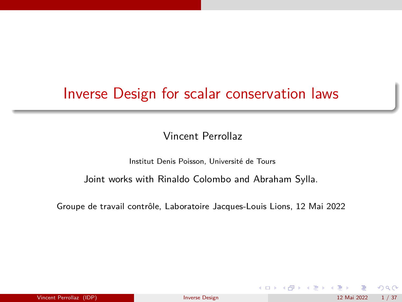# <span id="page-0-0"></span>Inverse Design for scalar conservation laws

Vincent Perrollaz

Institut Denis Poisson, Université de Tours

Joint works with Rinaldo Colombo and Abraham Sylla.

Groupe de travail contrôle, Laboratoire Jacques-Louis Lions, 12 Mai 2022

 $299$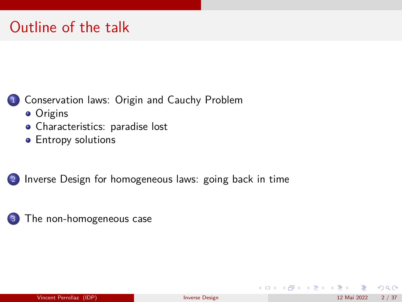# Outline of the talk

#### [Conservation laws: Origin and Cauchy Problem](#page-2-0)

- **•** [Origins](#page-2-0)
- [Characteristics: paradise lost](#page-6-0)
- **•** [Entropy solutions](#page-11-0)

<sup>2</sup> [Inverse Design for homogeneous laws: going back in time](#page-21-0)



メロメ メ都 メメ ミメ メヨメ

 $QQ$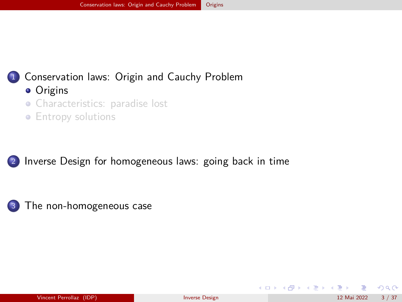# <span id="page-2-0"></span><sup>1</sup> [Conservation laws: Origin and Cauchy Problem](#page-2-0)

- [Origins](#page-2-0)
- [Characteristics: paradise lost](#page-6-0)
- [Entropy solutions](#page-11-0)

<sup>2</sup> [Inverse Design for homogeneous laws: going back in time](#page-21-0)



 $\Omega$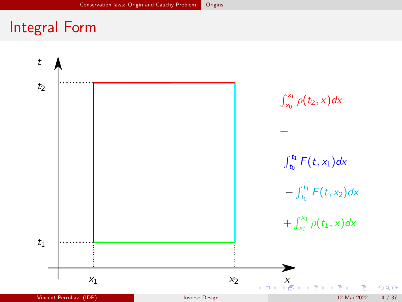# <span id="page-3-0"></span>Integral Form

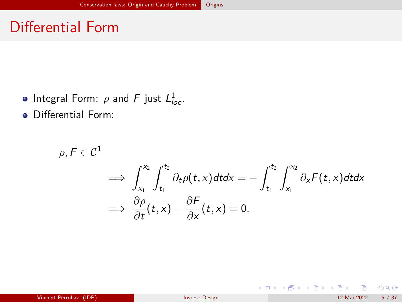# Differential Form

- Integral Form:  $\rho$  and F just  $L^1_{loc}$ .
- **•** Differential Form:

$$
\rho, F \in \mathcal{C}^1 \implies \int_{x_1}^{x_2} \int_{t_1}^{t_2} \partial_t \rho(t, x) dt dx = -\int_{t_1}^{t_2} \int_{x_1}^{x_2} \partial_x F(t, x) dt dx
$$

$$
\implies \frac{\partial \rho}{\partial t}(t, x) + \frac{\partial F}{\partial x}(t, x) = 0.
$$

 $299$ 

メロメ メ御き メミメ メミメ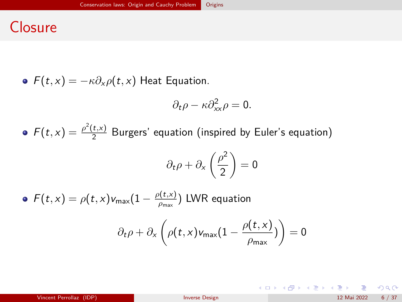## **Closure**

 $F(t, x) = -\kappa \partial_x \rho(t, x)$  Heat Equation.

$$
\partial_t \rho - \kappa \partial_{xx}^2 \rho = 0.
$$

 $F(t,x) = \frac{\rho^2(t,x)}{2}$  $\frac{1, x}{2}$  Burgers' equation (inspired by Euler's equation)

$$
\partial_t \rho + \partial_x \left(\frac{\rho^2}{2}\right) = 0
$$

 $F(t,x) = \rho(t,x)v_{\text{max}}(1 - \frac{\rho(t,x)}{\rho_{\text{max}}})$ *ρ*max ) LWR equation

$$
\partial_t \rho + \partial_x \left( \rho(t,x) v_{\text{max}} \big( 1 - \frac{\rho(t,x)}{\rho_{\text{max}}} \big) \right) = 0
$$

 $299$ 

イロト 不優 ト 不思 ト 不思 トー 理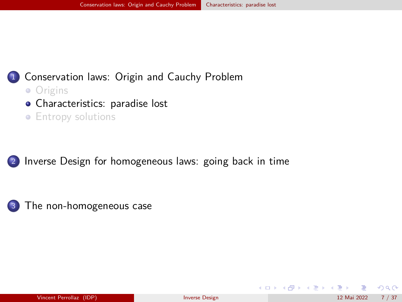### <span id="page-6-0"></span><sup>1</sup> [Conservation laws: Origin and Cauchy Problem](#page-2-0)

- [Origins](#page-2-0)
- [Characteristics: paradise lost](#page-6-0)
- **•** [Entropy solutions](#page-11-0)

<sup>2</sup> [Inverse Design for homogeneous laws: going back in time](#page-21-0)



 $\Omega$ 

メロメ メ都 メメ ミメ メヨメ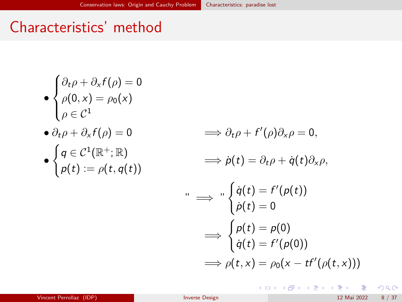# Characteristics' method

$$
\bullet \begin{cases} \partial_t \rho + \partial_x f(\rho) = 0 \\ \rho(0, x) = \rho_0(x) \\ \rho \in \mathcal{C}^1 \end{cases}
$$

$$
\bullet \partial_t \rho + \partial_x f(\rho) = 0 \qquad \qquad \Longrightarrow \partial_t \rho + f
$$

$$
\bullet\begin{cases}q\in\mathcal{C}^1(\mathbb{R}^+;\mathbb{R})\\ \rho(t):=\rho(t,q(t))\end{cases}
$$

$$
\implies \partial_t \rho + f'(\rho)\partial_x \rho = 0,
$$
  

$$
\implies \dot{\rho}(t) = \partial_t \rho + \dot{q}(t)\partial_x \rho,
$$
  

$$
\implies \int_a^b \dot{q}(t) = f'(\rho(t))
$$
  

$$
\implies \int_a^b \rho(t) = \rho(0)
$$
  

$$
\implies \int_a^b \rho(t) = \rho(0)
$$
  

$$
\implies \rho(t, x) = \rho_0(x - tf'(\rho(t, x)))
$$

メロメ メ御 メメ ミメ メ ヨメ

 $299$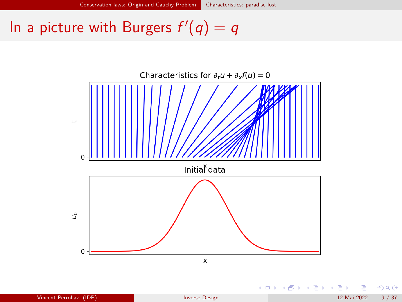# In a picture with Burgers  $f'(q) = q$



 $299$ 

メロト メ御 トメ きょ メきょ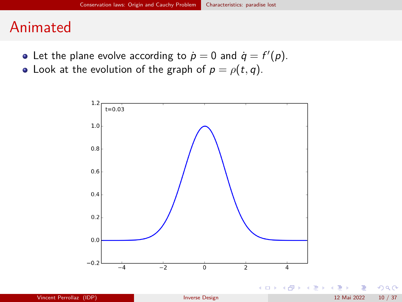### Animated

- Let the plane evolve according to  $\dot{p} = 0$  and  $\dot{q} = f'(p)$ .
- Look at the evolution of the graph of  $p = \rho(t, q)$ .



つへへ

メロト メ御 トメ きょ メきょ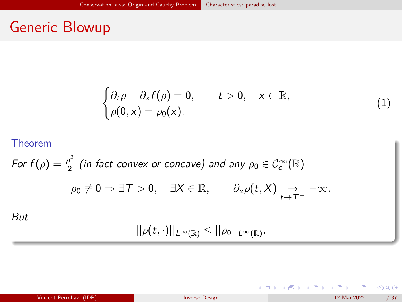# Generic Blowup

$$
\begin{cases} \partial_t \rho + \partial_x f(\rho) = 0, & t > 0, \quad x \in \mathbb{R}, \\ \rho(0, x) = \rho_0(x). \end{cases}
$$

#### Theorem

For 
$$
f(\rho) = \frac{\rho^2}{2}
$$
 (in fact convex or concave) and any  $\rho_0 \in C_c^{\infty}(\mathbb{R})$   
\n
$$
\rho_0 \not\equiv 0 \Rightarrow \exists T > 0, \quad \exists X \in \mathbb{R}, \qquad \partial_x \rho(t, X) \underset{t \to T^-}{\to} -\infty.
$$
\nBut

$$
||\rho(t,\cdot)||_{L^{\infty}(\mathbb{R})}\leq ||\rho_0||_{L^{\infty}(\mathbb{R})}.
$$

| Vincent Perrollaz (IDP) | <b>Inverse Design</b> | 12 Mai 2022 11 / 37 |
|-------------------------|-----------------------|---------------------|
|-------------------------|-----------------------|---------------------|

 $299$ 

 $A$  (D )  $A$  (D )  $A$  (E )  $A$  (E )

(1)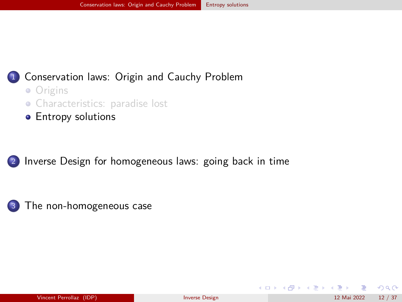#### <span id="page-11-0"></span><sup>1</sup> [Conservation laws: Origin and Cauchy Problem](#page-2-0)

- [Origins](#page-2-0)
- [Characteristics: paradise lost](#page-6-0)
- **•** [Entropy solutions](#page-11-0)

<sup>2</sup> [Inverse Design for homogeneous laws: going back in time](#page-21-0)



 $\Omega$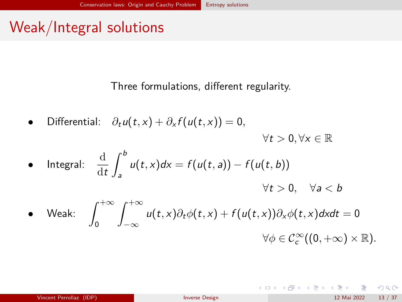# Weak/Integral solutions

Three formulations, different regularity.

 $\text{Differential:} \quad \partial_t u(t, x) + \partial_x f(u(t, x)) = 0,$  $\forall t > 0, \forall x \in \mathbb{R}$ 

\n- Integral: 
$$
\frac{d}{dt} \int_{a}^{b} u(t, x) dx = f(u(t, a)) - f(u(t, b))
$$
\n
$$
\forall t > 0, \quad \forall a < b
$$
\n
\n- Weak: 
$$
\int_{0}^{+\infty} \int_{-\infty}^{+\infty} u(t, x) \partial_t \phi(t, x) + f(u(t, x)) \partial_x \phi(t, x) dx dt = 0
$$
\n
$$
\forall \phi \in C_c^{\infty}((0, +\infty) \times \mathbb{R}).
$$
\n
\n

 $299$ 

メロメ メ御き メミメ メミメ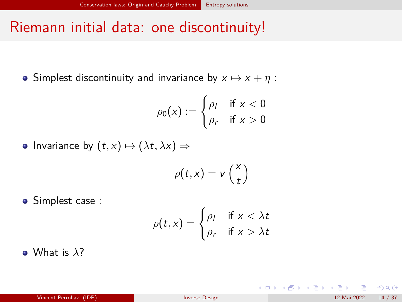# <span id="page-13-0"></span>Riemann initial data: one discontinuity!

• Simplest discontinuity and invariance by  $x \mapsto x + \eta$ :

$$
\rho_0(x) := \begin{cases} \rho_I & \text{if } x < 0 \\ \rho_r & \text{if } x > 0 \end{cases}
$$

• Invariance by  $(t, x) \mapsto (\lambda t, \lambda x) \Rightarrow$ 

$$
\rho(t,x)=v\left(\frac{x}{t}\right)
$$

**·** Simplest case :

$$
\rho(t,x) = \begin{cases} \rho_l & \text{if } x < \lambda t \\ \rho_r & \text{if } x > \lambda t \end{cases}
$$

What is *λ*?

 $209$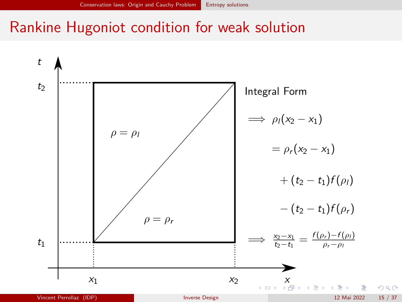## <span id="page-14-0"></span>Rankine Hugoniot condition for weak solution

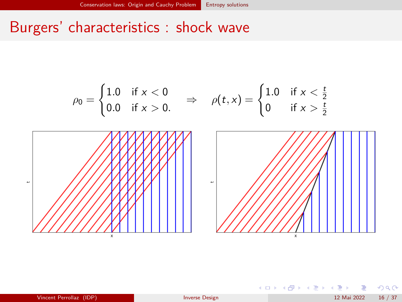# Burgers' characteristics : shock wave



| Vincent Perrollaz (IDP) | <b>Inverse Design</b> | 16/37<br>12 Mai 2022 |
|-------------------------|-----------------------|----------------------|
|-------------------------|-----------------------|----------------------|

 $\Omega$ 

メロメ メ御き メミメ メミメ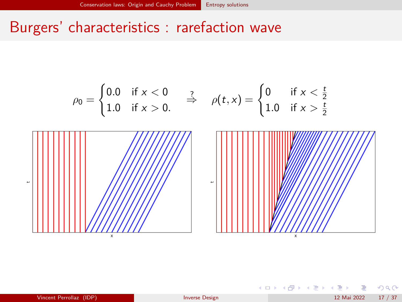## Burgers' characteristics : rarefaction wave



| Vincent Perrollaz (IDP) | Inverse Design | 17/37<br>12 Mai 2022 |
|-------------------------|----------------|----------------------|
|-------------------------|----------------|----------------------|

 $\Omega$ 

メロメ メ都 メメ きょうくぼ メー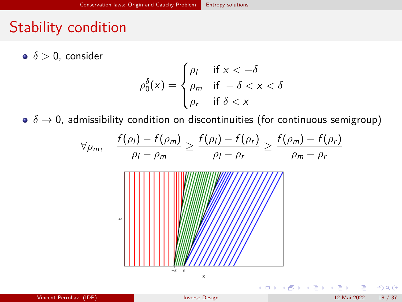# Stability condition

*δ >* 0, consider

$$
\rho_0^{\delta}(x) = \begin{cases} \rho_I & \text{if } x < -\delta \\ \rho_m & \text{if } -\delta < x < \delta \\ \rho_r & \text{if } \delta < x \end{cases}
$$

 $\delta \rightarrow 0$ , admissibility condition on discontinuities (for continuous semigroup)

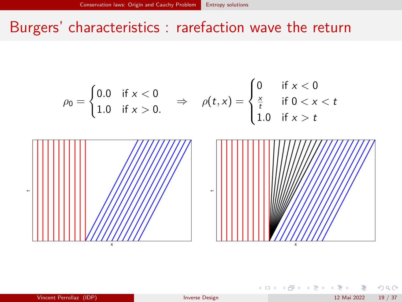## Burgers' characteristics : rarefaction wave the return

$$
\rho_0 = \begin{cases} 0.0 & \text{if } x < 0 \\ 1.0 & \text{if } x > 0. \end{cases} \Rightarrow \quad \rho(t, x) = \begin{cases} 0 & \text{if } x < 0 \\ \frac{x}{t} & \text{if } 0 < x < t \\ 1.0 & \text{if } x > t \end{cases}
$$

| Vincent Perrollaz (IDP) |
|-------------------------|
|-------------------------|

Â.

 $\Omega$ 

K ロ ▶ K 御 ▶ K 경 ▶ K 경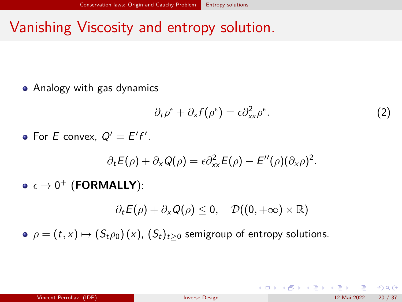# Vanishing Viscosity and entropy solution.

• Analogy with gas dynamics

$$
\partial_t \rho^{\epsilon} + \partial_x f(\rho^{\epsilon}) = \epsilon \partial_{xx}^2 \rho^{\epsilon}.
$$
 (2)

For E convex,  $Q' = E'f'$ .

$$
\partial_t E(\rho) + \partial_x Q(\rho) = \epsilon \partial_{xx}^2 E(\rho) - E''(\rho) (\partial_x \rho)^2.
$$

 $\epsilon \to 0^+$  (**FORMALLY**):

 $\partial_t E(\rho) + \partial_x Q(\rho) \leq 0$ ,  $\mathcal{D}((0, +\infty) \times \mathbb{R})$ 

 $\rho = (t, x) \mapsto (S_t \rho_0)(x)$ ,  $(S_t)_{t>0}$  semigroup of entropy solutions.

 $209$ 

メロメ メ都 メメ きょうくぼ メー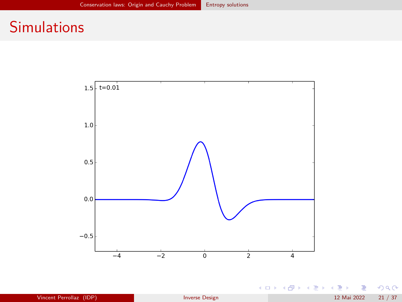# **Simulations**



重

 $299$ 

イロト イ部 トイモト イモト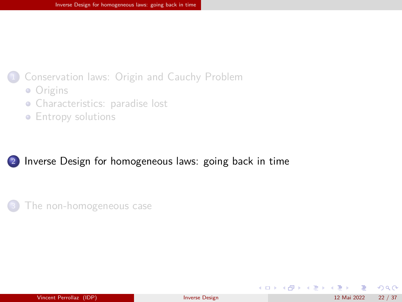#### <span id="page-21-0"></span><sup>1</sup> [Conservation laws: Origin and Cauchy Problem](#page-2-0)

- [Origins](#page-2-0)
- [Characteristics: paradise lost](#page-6-0)
- **•** [Entropy solutions](#page-11-0)

#### <sup>2</sup> [Inverse Design for homogeneous laws: going back in time](#page-21-0)



 $\Omega$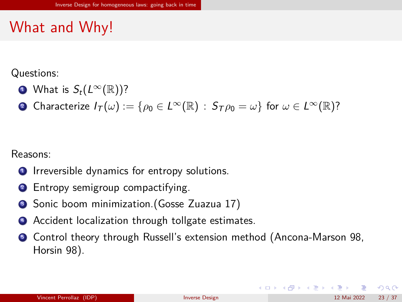# What and Why!

Questions:

- What is  $S_t(L^{\infty}(\mathbb{R}))$ ?
- 2 Characterize  $I_T(\omega) := \{ \rho_0 \in L^{\infty}(\mathbb{R}) : S_T \rho_0 = \omega \}$  for  $\omega \in L^{\infty}(\mathbb{R})$ ?

Reasons:

- **1** Irreversible dynamics for entropy solutions.
- <sup>2</sup> Entropy semigroup compactifying.
- <sup>3</sup> Sonic boom minimization. (Gosse Zuazua 17)
- <sup>4</sup> Accident localization through tollgate estimates.
- **•** Control theory through Russell's extension method (Ancona-Marson 98, Horsin 98).

 $\Omega$ 

メロメ メ御き メミメ メミメ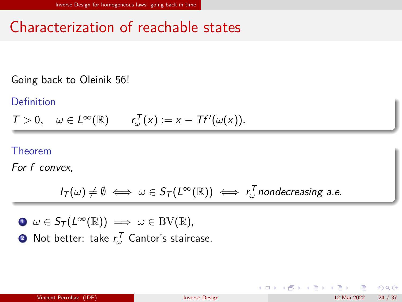# Characterization of reachable states

Going back to Oleinik 56!

Definition

 $T > 0$ ,  $\omega \in L^{\infty}(\mathbb{R})$   $r_{\omega}^{T}(x) := x - Tf'(\omega(x)).$ 

Theorem

For f convex,

$$
I_{\mathcal{T}}(\omega) \neq \emptyset \iff \omega \in S_{\mathcal{T}}(L^{\infty}(\mathbb{R})) \iff r_{\omega}^{\mathcal{T}} \text{ nondecreasing a.e.}
$$

 $\mathbf{0} \omega \in \mathcal{S}_\mathcal{T}(L^\infty(\mathbb{R})) \implies \omega \in BV(\mathbb{R}),$ **2** Not better: take  $r_\omega^{\mathcal{T}}$  Cantor's staircase.

 $\Omega$ 

メロメ メ御き メミメ メミメ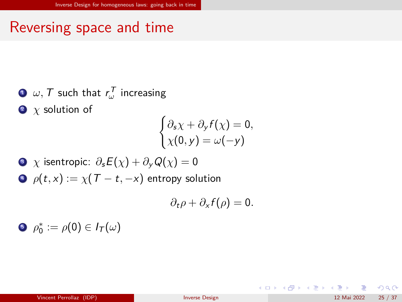# Reversing space and time

 $\mathbf{D}$   $\mathbf{\omega},$   $\mathcal{T}$  such that  $r_{\mathbf{\omega}}^{\mathcal{T}}$  increasing  $\bullet$  *χ* solution of

$$
\begin{cases} \partial_s \chi + \partial_y f(\chi) = 0, \\ \chi(0, y) = \omega(-y) \end{cases}
$$

\n- $$
\chi
$$
 isentropic:  $\partial_s E(\chi) + \partial_y Q(\chi) = 0$
\n- $\rho(t, x) := \chi(T - t, -x)$  entropy solution
\n

$$
\partial_t \rho + \partial_x f(\rho) = 0.
$$

$$
\bullet \ \ \rho_0^* := \rho(0) \in I_T(\omega)
$$

 $2990$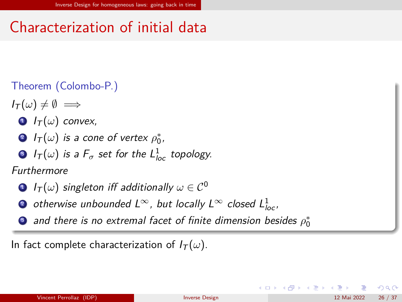# Characterization of initial data

#### Theorem (Colombo-P.)

- $I_{\mathcal{T}}(\omega) \neq \emptyset \implies$ 
	- $\bullet$   $I_T(\omega)$  convex,
	- **2**  $I_T(\omega)$  is a cone of vertex  $\rho_0^*,$
	- $\bullet$   $I_{\mathcal{T}}(\omega)$  is a  $F_{\sigma}$  set for the  $\mathcal{L}_{loc}^1$  topology.

#### Furthermore

- **1**  $I_T(\omega)$  singleton iff additionally  $\omega \in C^0$
- ② otherwise unbounded L $^{\infty}$ , but locally L $^{\infty}$  closed  $L_{loc}^{1}$ ,
- $\bullet$  and there is no extremal facet of finite dimension besides  $\rho_0^*$

In fact complete characterization of  $I_T(\omega)$ .

 $\Omega$ 

メロメ メ都 メメ きょうくぼ メー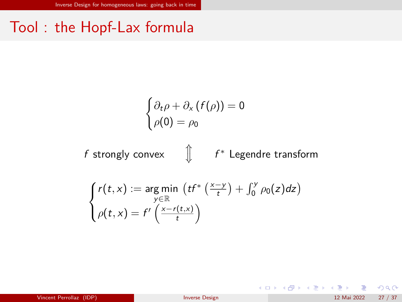# Tool : the Hopf-Lax formula

$$
\begin{cases} \partial_t \rho + \partial_x (f(\rho)) = 0 \\ \rho(0) = \rho_0 \end{cases}
$$

$$
f\text{ strongly convex}\qquad\text{ }\bigcirc\qquad \qquad f^*\text{ Legendre transform}
$$

$$
\begin{cases}\nr(t,x) := \underset{y \in \mathbb{R}}{\arg \min} \left( t f^* \left( \frac{x-y}{t} \right) + \int_0^y \rho_0(z) dz \right) \\
\rho(t,x) = f' \left( \frac{x-r(t,x)}{t} \right)\n\end{cases}
$$

 $299$ 

メロトメ 倒 トメ ミトメ ミト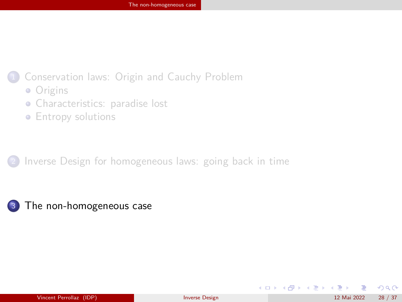#### <span id="page-27-0"></span>[Conservation laws: Origin and Cauchy Problem](#page-2-0)

- [Origins](#page-2-0)
- [Characteristics: paradise lost](#page-6-0)
- **•** [Entropy solutions](#page-11-0)

[Inverse Design for homogeneous laws: going back in time](#page-21-0)

<sup>3</sup> [The non-homogeneous case](#page-27-0)

 $\Omega$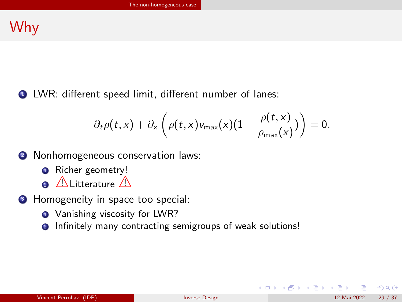## Why

<sup>1</sup> LWR: different speed limit, different number of lanes:

$$
\partial_t \rho(t,x) + \partial_x \left( \rho(t,x) v_{\max}(x) (1 - \frac{\rho(t,x)}{\rho_{\max}(x)}) \right) = 0.
$$

- <sup>2</sup> Nonhomogeneous conservation laws:
	- **O** Richer geometry!
	- $\bullet$   $\triangle$  Litterature  $\triangle$
- **3** Homogeneity in space too special:
	- **1** Vanishing viscosity for LWR?
	- **2** Infinitely many contracting semigroups of weak solutions!

 $\Omega$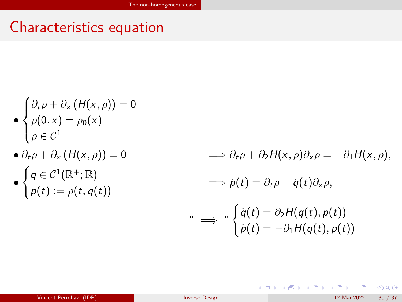## Characteristics equation

$$
\begin{cases} \partial_t \rho + \partial_x (H(x,\rho)) = 0 \\ \rho(0,x) = \rho_0(x) \end{cases}
$$

$$
\big\downarrow\rho\in\mathcal{C}^1
$$

•

$$
\bullet \partial_t \rho + \partial_x (H(x,\rho)) = 0
$$

$$
\bullet\;\begin{cases}q\in\mathcal{C}^1(\mathbb{R}^+;\mathbb{R})\\\rho(t):=\rho(t,q(t))\end{cases}
$$

 $\Rightarrow \partial_{t} \rho + \partial_{2} H(x, \rho) \partial_{x} \rho = -\partial_{1} H(x, \rho),$  $\implies \dot{p}(t) = \partial_t \rho + \dot{q}(t) \partial_x \rho,$ " =⇒ "  $\int \dot{q}(t) = \partial_2 H(q(t), p(t))$  $\dot{p}(t) = -\partial_1 H(q(t),p(t))$ 

メロメ メ御き メミメ メミメ

 $299$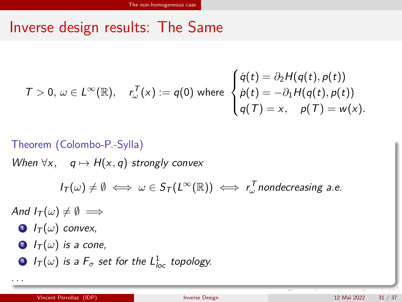## Inverse design results: The Same

$$
\mathcal{T} > 0, \ \omega \in L^{\infty}(\mathbb{R}), \quad r_{\omega}^{\mathcal{T}}(x) := q(0) \text{ where } \begin{cases} \dot{q}(t) = \partial_2 H(q(t), p(t)) \\ \dot{p}(t) = -\partial_1 H(q(t), p(t)) \\ q(T) = x, \quad p(T) = w(x). \end{cases}
$$

Theorem (Colombo-P.-Sylla)  
\nWhen 
$$
\forall x, \quad q \mapsto H(x,q)
$$
 strongly convex  
\n
$$
I_T(\omega) \neq \emptyset \iff \omega \in S_T(L^{\infty}(\mathbb{R})) \iff r_{\omega}^T
$$
 nondecreasing a.e.  
\nAnd  $I_T(\omega) \neq \emptyset \implies$ 

 $\bullet$   $I_T(\omega)$  convex,

. . .

- **2**  $I_T(\omega)$  is a cone,
- 3  $I_{\mathcal{T}}(\omega)$  is a  $F_{\sigma}$  set for the  $L^1_{loc}$  topology.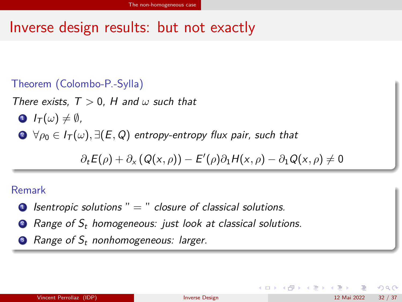## Inverse design results: but not exactly

#### Theorem (Colombo-P.-Sylla)

There exists, T *>* 0, H and *ω* such that

- $\bullet$   $I_{\tau}(\omega) \neq \emptyset$ .
- $\bullet \ \forall \rho_0 \in I_\mathcal{T}(\omega), \exists (E,Q)$  entropy-entropy flux pair, such that

 $\partial_t E(\rho) + \partial_x (Q(x, \rho)) - E'(\rho) \partial_1 H(x, \rho) - \partial_1 Q(x, \rho) \neq 0$ 

#### Remark

- $\bullet$  Isentropic solutions " = " closure of classical solutions.
- **2** Range of  $S_t$  homogeneous: just look at classical solutions.
- $\bullet$  Range of  $S_t$  nonhomogeneous: larger.

| Vincent Perrollaz (IDP) | Inverse Design | 32/37<br>12 Mai 2022 |
|-------------------------|----------------|----------------------|
|-------------------------|----------------|----------------------|

 $\Omega$ 

メロメ メ御き メミメ メミメ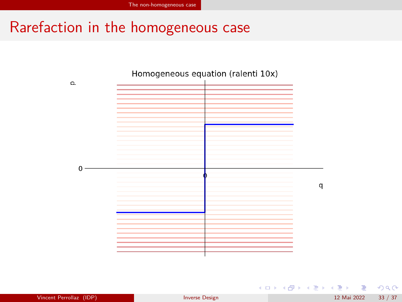# Rarefaction in the homogeneous case



 $299$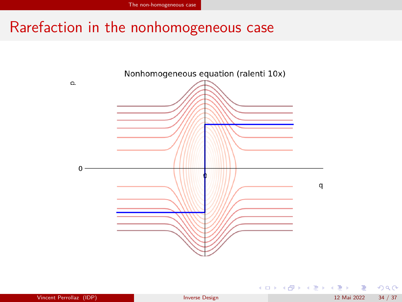## Rarefaction in the nonhomogeneous case



 $299$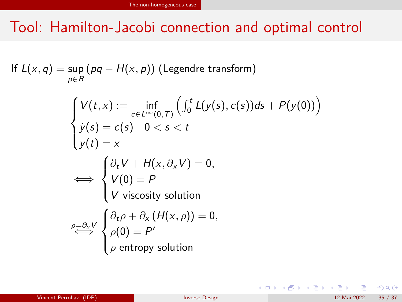# Tool: Hamilton-Jacobi connection and optimal control

If 
$$
L(x, q) = \sup_{p \in R} (pq - H(x, p))
$$
 (Legendre transform)  
\n
$$
\begin{cases}\nV(t, x) := \inf_{c \in L^{\infty}(0, T)} ( \int_0^t L(y(s), c(s)) ds + P(y(0)) ) \\
y(s) = c(s) \quad 0 < s < t \\
y(t) = x\n\end{cases}
$$
\n
$$
\Leftrightarrow \begin{cases}\n\partial_t V + H(x, \partial_x V) = 0, \\
V(0) = P \\
V \text{ viscosity solution} \\
\rho = \frac{\partial_x V}{\partial \rho} \begin{cases}\n\partial_t \rho + \partial_x (H(x, \rho)) = 0, \\
\rho(0) = P' \\
\rho \text{ entropy solution}\n\end{cases}
$$

 $299$ 

メロメ メ御 メメ きょうぼき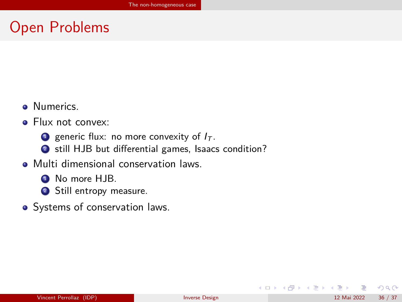## Open Problems

- **O** Numerics.
- Flux not convex:
	- **1** generic flux: no more convexity of  $I_T$ .
	- <sup>2</sup> still HJB but differential games, Isaacs condition?
- **Multi dimensional conservation laws.** 
	- **1** No more HJB.
	- 2 Still entropy measure.
- Systems of conservation laws.

 $\Omega$